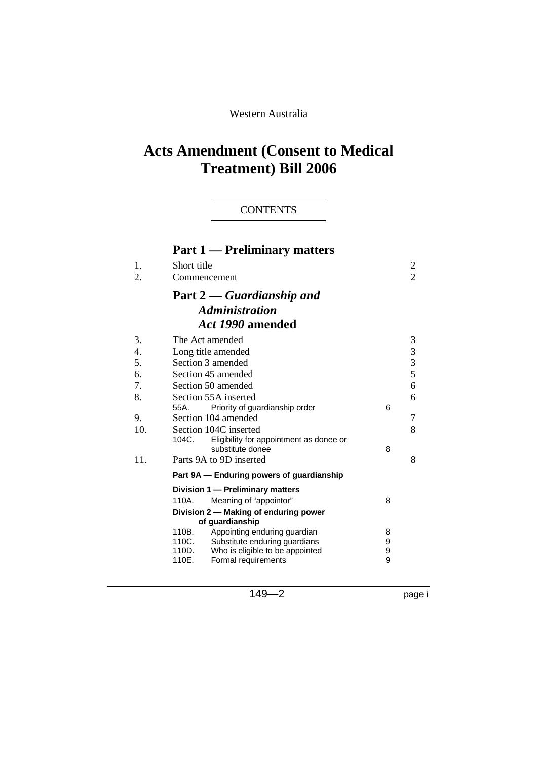## Western Australia

# **Acts Amendment (Consent to Medical Treatment) Bill 2006**

## **CONTENTS**

|     | <b>Part 1 — Preliminary matters</b>                                      |        |                |  |
|-----|--------------------------------------------------------------------------|--------|----------------|--|
| 1.  | Short title                                                              |        | 2              |  |
| 2.  | Commencement                                                             |        | $\overline{2}$ |  |
|     | <b>Part 2</b> — Guardianship and                                         |        |                |  |
|     | <b>Administration</b>                                                    |        |                |  |
|     | Act 1990 amended                                                         |        |                |  |
| 3.  | The Act amended                                                          |        | 3              |  |
| 4.  | Long title amended                                                       |        | 3              |  |
| 5.  | Section 3 amended                                                        |        | 3              |  |
| 6.  | Section 45 amended                                                       |        | 5              |  |
| 7.  | 6<br>Section 50 amended                                                  |        |                |  |
| 8.  | Section 55A inserted<br>6                                                |        |                |  |
|     | 55A. Priority of guardianship order                                      | 6      |                |  |
| 9.  | Section 104 amended                                                      |        | 7              |  |
| 10. | Section 104C inserted                                                    |        | 8              |  |
|     | 104C.<br>Eligibility for appointment as donee or                         |        |                |  |
| 11. | substitute donee<br>Parts 9A to 9D inserted                              | 8      | 8              |  |
|     |                                                                          |        |                |  |
|     | Part 9A – Enduring powers of guardianship                                |        |                |  |
|     | Division 1 - Preliminary matters                                         |        |                |  |
|     | Meaning of "appointor"<br>110A.                                          | 8      |                |  |
|     | Division 2 - Making of enduring power<br>of guardianship                 |        |                |  |
|     | 110B.<br>Appointing enduring guardian                                    | 8      |                |  |
|     | 110C.<br>Substitute enduring guardians                                   | 9      |                |  |
|     | 110D.<br>Who is eligible to be appointed<br>110E.<br>Formal requirements | 9<br>9 |                |  |
|     |                                                                          |        |                |  |

149—2 page i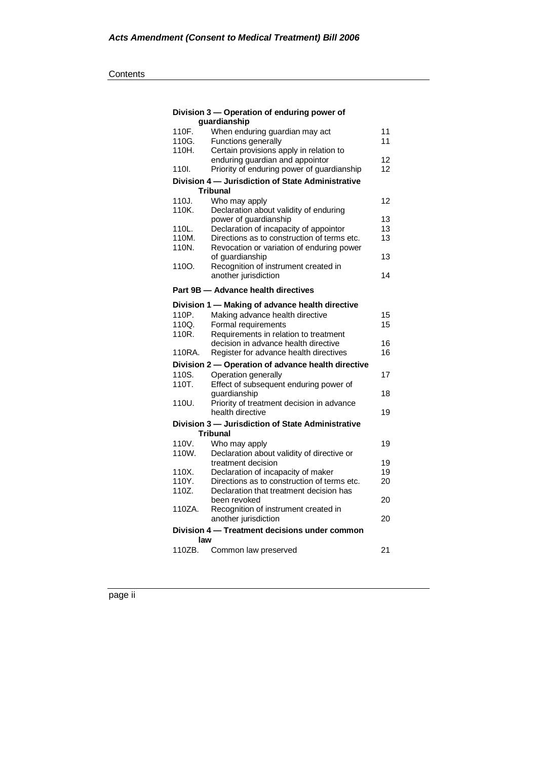#### **Contents**

|        | Division 3 - Operation of enduring power of        |    |
|--------|----------------------------------------------------|----|
|        | quardianship                                       |    |
| 110F.  | When enduring guardian may act                     | 11 |
| 110G.  | Functions generally                                | 11 |
| 110H.  | Certain provisions apply in relation to            |    |
|        | enduring guardian and appointor                    | 12 |
| 110I.  | Priority of enduring power of guardianship         | 12 |
|        | Division 4 - Jurisdiction of State Administrative  |    |
|        | Tribunal                                           |    |
| 110J.  | Who may apply                                      | 12 |
| 110K.  | Declaration about validity of enduring             |    |
|        | power of guardianship                              | 13 |
| 110L.  | Declaration of incapacity of appointor             | 13 |
| 110M.  | Directions as to construction of terms etc.        | 13 |
| 110N.  | Revocation or variation of enduring power          |    |
|        | of quardianship                                    | 13 |
| 110O.  | Recognition of instrument created in               |    |
|        | another jurisdiction                               | 14 |
|        | Part 9B - Advance health directives                |    |
|        |                                                    |    |
|        | Division 1 - Making of advance health directive    |    |
| 110P.  | Making advance health directive                    | 15 |
| 110Q.  | Formal requirements                                | 15 |
| 110R.  | Requirements in relation to treatment              |    |
|        | decision in advance health directive               | 16 |
| 110RA. | Register for advance health directives             | 16 |
|        | Division 2 - Operation of advance health directive |    |
| 110S.  | Operation generally                                | 17 |
| 110T.  | Effect of subsequent enduring power of             |    |
|        | quardianship                                       | 18 |
| 110U.  | Priority of treatment decision in advance          |    |
|        | health directive                                   | 19 |
|        | Division 3 - Jurisdiction of State Administrative  |    |
|        | Tribunal                                           |    |
| 110V.  | Who may apply                                      | 19 |
| 110W.  | Declaration about validity of directive or         |    |
|        | treatment decision                                 | 19 |
| 110X.  | Declaration of incapacity of maker                 | 19 |
| 110Y.  | Directions as to construction of terms etc.        | 20 |
| 110Z.  | Declaration that treatment decision has            |    |
|        | been revoked                                       | 20 |
| 110ZA. | Recognition of instrument created in               |    |
|        | another jurisdiction                               | 20 |
|        | Division 4 – Treatment decisions under common      |    |
| law    |                                                    |    |
| 110ZB. | Common law preserved                               | 21 |
|        |                                                    |    |

page ii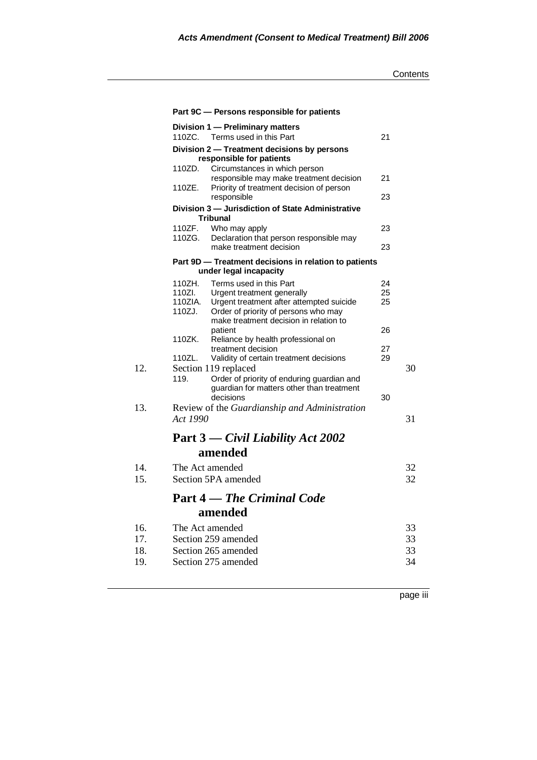|     |          | Part 9C - Persons responsible for patients                                      |    |    |
|-----|----------|---------------------------------------------------------------------------------|----|----|
|     |          | Division 1 - Preliminary matters                                                |    |    |
|     | 110ZC.   | Terms used in this Part                                                         | 21 |    |
|     |          | Division 2 - Treatment decisions by persons<br>responsible for patients         |    |    |
|     | 110ZD.   | Circumstances in which person                                                   |    |    |
|     |          | responsible may make treatment decision                                         | 21 |    |
|     | 110ZE.   | Priority of treatment decision of person<br>responsible                         | 23 |    |
|     |          | Division 3 - Jurisdiction of State Administrative<br><b>Tribunal</b>            |    |    |
|     | 110ZF.   | Who may apply                                                                   | 23 |    |
|     | 110ZG.   | Declaration that person responsible may<br>make treatment decision              | 23 |    |
|     |          | Part 9D - Treatment decisions in relation to patients<br>under legal incapacity |    |    |
|     | 110ZH.   | Terms used in this Part                                                         | 24 |    |
|     | 110ZI.   | Urgent treatment generally                                                      | 25 |    |
|     | 110ZIA.  | Urgent treatment after attempted suicide                                        | 25 |    |
|     | 110ZJ.   | Order of priority of persons who may<br>make treatment decision in relation to  |    |    |
|     |          | patient                                                                         | 26 |    |
|     | 110ZK.   | Reliance by health professional on                                              |    |    |
|     |          | treatment decision                                                              | 27 |    |
| 12. | 110ZL.   | Validity of certain treatment decisions                                         | 29 | 30 |
|     | 119.     | Section 119 replaced<br>Order of priority of enduring guardian and              |    |    |
|     |          | guardian for matters other than treatment                                       |    |    |
|     |          | decisions                                                                       | 30 |    |
| 13. |          | Review of the Guardianship and Administration                                   |    |    |
|     | Act 1990 |                                                                                 |    | 31 |
|     |          | Part 3 — Civil Liability Act 2002                                               |    |    |
|     |          | amended                                                                         |    |    |
| 14. |          | The Act amended                                                                 |    | 32 |
| 15. |          | Section 5PA amended                                                             |    | 32 |
|     |          | <b>Part 4</b> — The Criminal Code                                               |    |    |
|     |          | amended                                                                         |    |    |
| 16. |          | The Act amended                                                                 |    | 33 |
| 17. |          | Section 259 amended                                                             |    | 33 |
| 18. |          | Section 265 amended                                                             |    | 33 |
| 19. |          | Section 275 amended                                                             |    | 34 |
|     |          |                                                                                 |    |    |

page iii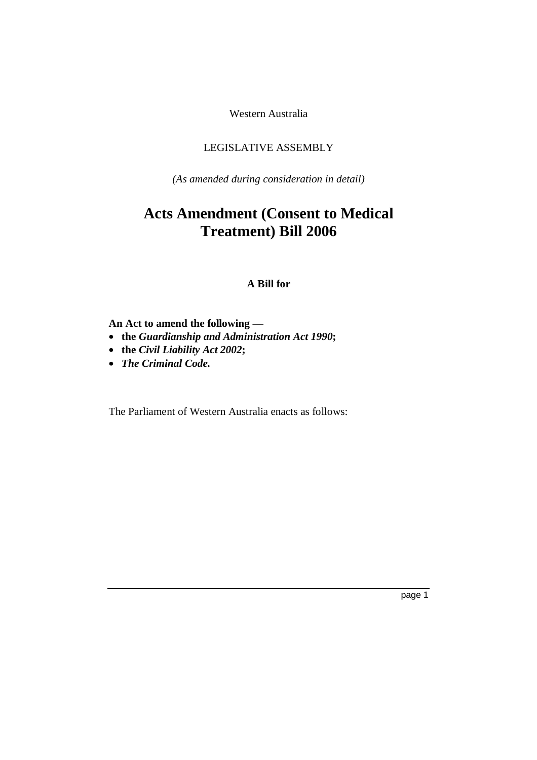Western Australia

## LEGISLATIVE ASSEMBLY

*(As amended during consideration in detail)* 

# **Acts Amendment (Consent to Medical Treatment) Bill 2006**

## **A Bill for**

## **An Act to amend the following —**

- **the** *Guardianship and Administration Act 1990***;**
- **the** *Civil Liability Act 2002***;**
- *The Criminal Code.*

The Parliament of Western Australia enacts as follows: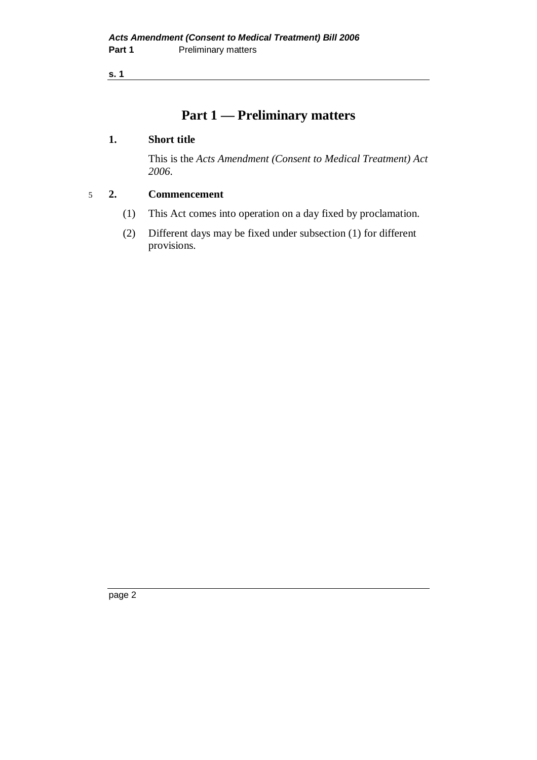# **Part 1 — Preliminary matters**

## **1. Short title**

 This is the *Acts Amendment (Consent to Medical Treatment) Act 2006*.

## 5 **2. Commencement**

- (1) This Act comes into operation on a day fixed by proclamation.
- (2) Different days may be fixed under subsection (1) for different provisions.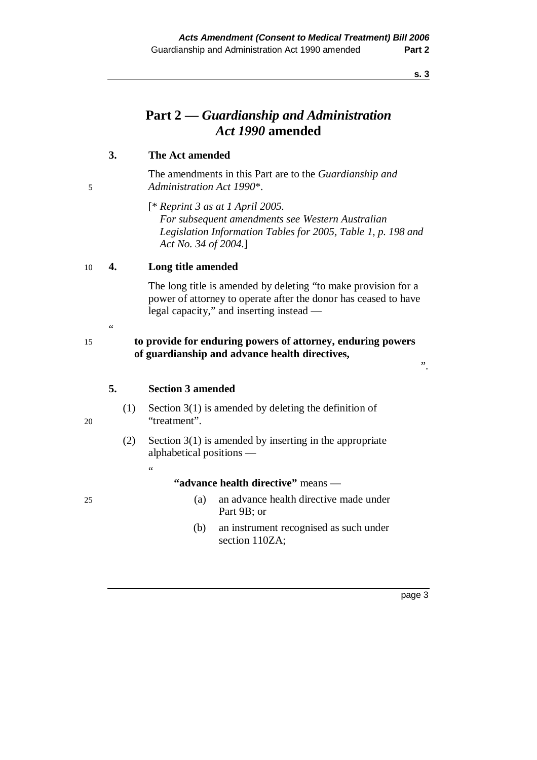# **Part 2 —** *Guardianship and Administration Act 1990* **amended**

## **3. The Act amended**

 The amendments in this Part are to the *Guardianship and*  5 *Administration Act 1990*\*.

> [\* *Reprint 3 as at 1 April 2005. For subsequent amendments see Western Australian Legislation Information Tables for 2005, Table 1, p. 198 and Act No. 34 of 2004.*]

#### 10 **4. Long title amended**

 The long title is amended by deleting "to make provision for a power of attorney to operate after the donor has ceased to have legal capacity," and inserting instead —

## 15 **to provide for enduring powers of attorney, enduring powers of guardianship and advance health directives,**

#### **5. Section 3 amended**

"

- (1) Section 3(1) is amended by deleting the definition of 20 "treatment".
	- (2) Section 3(1) is amended by inserting in the appropriate alphabetical positions —

#### **"advance health directive"** means —

- 25 (a) an advance health directive made under Part 9B; or
	- (b) an instrument recognised as such under section 110ZA;

 $\alpha$ 

#### page 3

".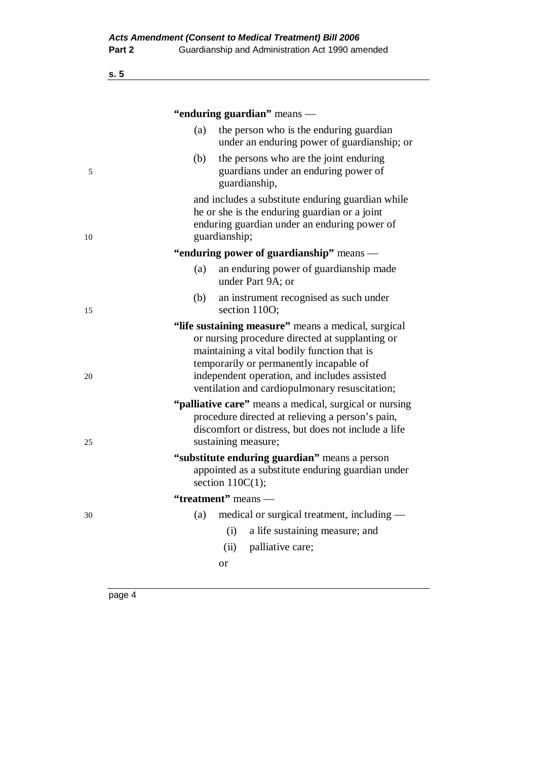|    |     | "enduring guardian" means —                                                                                                                                                                                                                                                                        |
|----|-----|----------------------------------------------------------------------------------------------------------------------------------------------------------------------------------------------------------------------------------------------------------------------------------------------------|
|    | (a) | the person who is the enduring guardian<br>under an enduring power of guardianship; or                                                                                                                                                                                                             |
| 5  | (b) | the persons who are the joint enduring<br>guardians under an enduring power of<br>guardianship,                                                                                                                                                                                                    |
| 10 |     | and includes a substitute enduring guardian while<br>he or she is the enduring guardian or a joint<br>enduring guardian under an enduring power of<br>guardianship;                                                                                                                                |
|    |     | "enduring power of guardianship" means —                                                                                                                                                                                                                                                           |
|    | (a) | an enduring power of guardianship made<br>under Part 9A; or                                                                                                                                                                                                                                        |
| 15 | (b) | an instrument recognised as such under<br>section 1100;                                                                                                                                                                                                                                            |
| 20 |     | "life sustaining measure" means a medical, surgical<br>or nursing procedure directed at supplanting or<br>maintaining a vital bodily function that is<br>temporarily or permanently incapable of<br>independent operation, and includes assisted<br>ventilation and cardiopulmonary resuscitation; |
| 25 |     | "palliative care" means a medical, surgical or nursing<br>procedure directed at relieving a person's pain,<br>discomfort or distress, but does not include a life<br>sustaining measure;                                                                                                           |
|    |     | "substitute enduring guardian" means a person<br>appointed as a substitute enduring guardian under<br>section $110C(1)$ ;                                                                                                                                                                          |
|    |     | "treatment" means —                                                                                                                                                                                                                                                                                |
| 30 | (a) | medical or surgical treatment, including —                                                                                                                                                                                                                                                         |
|    |     | a life sustaining measure; and<br>(i)                                                                                                                                                                                                                                                              |
|    |     | palliative care;<br>(ii)                                                                                                                                                                                                                                                                           |
|    |     | or                                                                                                                                                                                                                                                                                                 |
|    |     |                                                                                                                                                                                                                                                                                                    |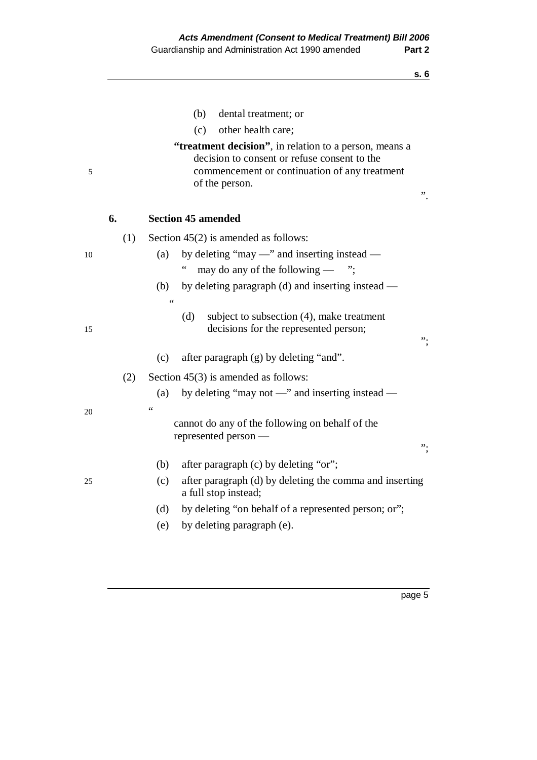|    |     | (b)<br>dental treatment; or                                                                                                                                               |    |
|----|-----|---------------------------------------------------------------------------------------------------------------------------------------------------------------------------|----|
|    |     | other health care;<br>(c)                                                                                                                                                 |    |
| 5  |     | "treatment decision", in relation to a person, means a<br>decision to consent or refuse consent to the<br>commencement or continuation of any treatment<br>of the person. | "  |
|    | 6.  | <b>Section 45 amended</b>                                                                                                                                                 |    |
|    | (1) | Section $45(2)$ is amended as follows:                                                                                                                                    |    |
| 10 |     | by deleting "may —" and inserting instead —<br>(a)                                                                                                                        |    |
|    |     | $\ddot{\phantom{0}}$<br>may do any of the following $-$ ";                                                                                                                |    |
|    |     | by deleting paragraph (d) and inserting instead —<br>(b)                                                                                                                  |    |
|    |     | 66                                                                                                                                                                        |    |
| 15 |     | (d)<br>subject to subsection (4), make treatment<br>decisions for the represented person;                                                                                 | ". |
|    |     | after paragraph $(g)$ by deleting "and".<br>(c)                                                                                                                           |    |
|    | (2) | Section $45(3)$ is amended as follows:                                                                                                                                    |    |
|    |     | by deleting "may not $\equiv$ " and inserting instead $\equiv$<br>(a)                                                                                                     |    |
| 20 |     | $\zeta$ $\zeta$                                                                                                                                                           |    |
|    |     | cannot do any of the following on behalf of the<br>represented person -                                                                                                   | ". |
|    |     | after paragraph (c) by deleting "or";<br>(b)                                                                                                                              |    |
| 25 |     | after paragraph (d) by deleting the comma and inserting<br>(c)<br>a full stop instead;                                                                                    |    |
|    |     | by deleting "on behalf of a represented person; or";<br>(d)                                                                                                               |    |
|    |     | by deleting paragraph (e).<br>(e)                                                                                                                                         |    |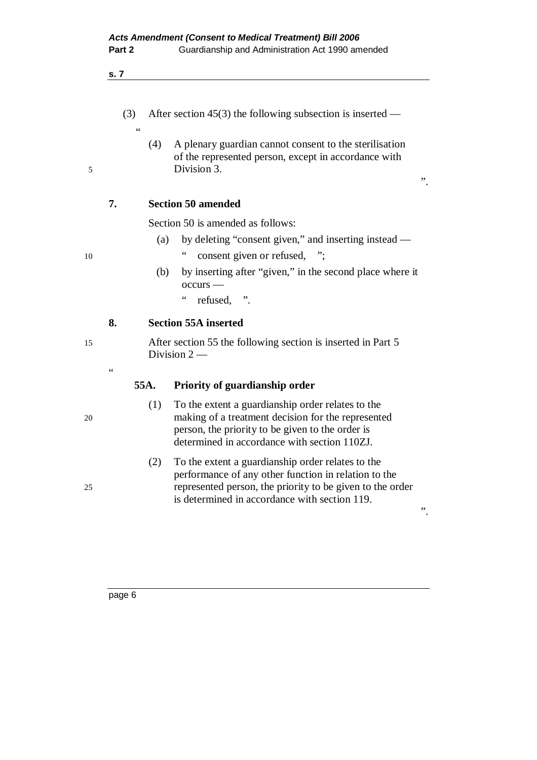- **s. 7** 
	- (3) After section 45(3) the following subsection is inserted  $\alpha$
- (4) A plenary guardian cannot consent to the sterilisation of the represented person, except in accordance with 5 Division 3.

".

".

## **7. Section 50 amended**

Section 50 is amended as follows:

- (a) by deleting "consent given," and inserting instead —
- 10 " consent given or refused, ";
	- (b) by inserting after "given," in the second place where it occurs —
		- " refused, ".

## **8. Section 55A inserted**

15 After section 55 the following section is inserted in Part 5 Division  $2-$ 

## **55A. Priority of guardianship order**

- (1) To the extent a guardianship order relates to the 20 making of a treatment decision for the represented person, the priority to be given to the order is determined in accordance with section 110ZJ.
- (2) To the extent a guardianship order relates to the performance of any other function in relation to the 25 represented person, the priority to be given to the order is determined in accordance with section 119.

"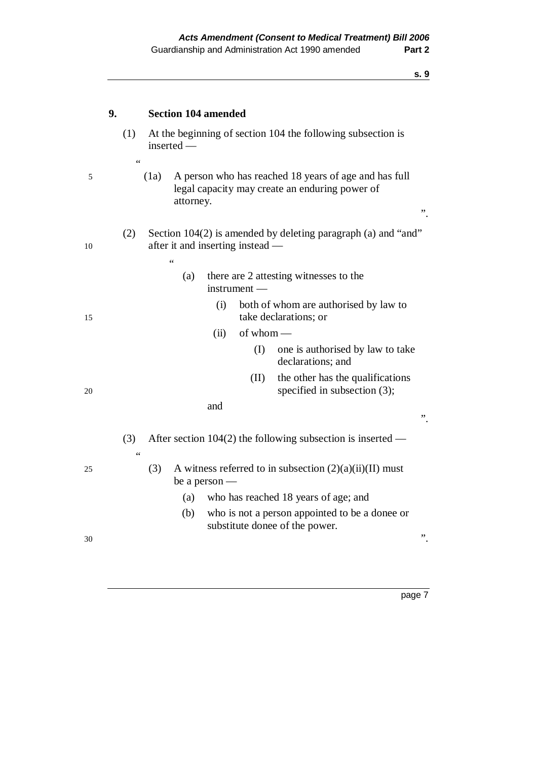|    | 9. | <b>Section 104 amended</b>                                                                                                                      |
|----|----|-------------------------------------------------------------------------------------------------------------------------------------------------|
|    |    | At the beginning of section 104 the following subsection is<br>(1)<br>inserted -                                                                |
| 5  |    | $\zeta$ $\zeta$<br>A person who has reached 18 years of age and has full<br>(1a)<br>legal capacity may create an enduring power of<br>attorney. |
| 10 |    | Section 104(2) is amended by deleting paragraph (a) and "and"<br>(2)<br>after it and inserting instead —<br>$\zeta$ $\zeta$                     |
|    |    | there are 2 attesting witnesses to the<br>(a)<br>$instrument-$                                                                                  |
| 15 |    | both of whom are authorised by law to<br>(i)<br>take declarations; or                                                                           |
|    |    | (ii)<br>of whom -                                                                                                                               |
|    |    | (I)<br>one is authorised by law to take<br>declarations; and                                                                                    |
| 20 |    | the other has the qualifications<br>(II)<br>specified in subsection $(3)$ ;                                                                     |
|    |    | and                                                                                                                                             |
|    |    | "                                                                                                                                               |
|    |    | After section $104(2)$ the following subsection is inserted —<br>(3)<br>$\zeta$ $\zeta$                                                         |
| 25 |    | A witness referred to in subsection $(2)(a)(ii)(II)$ must<br>(3)<br>be a person $-$                                                             |
|    |    | who has reached 18 years of age; and<br>(a)                                                                                                     |
|    |    | who is not a person appointed to be a donee or<br>(b)                                                                                           |
| 30 |    | substitute donee of the power.<br>,,                                                                                                            |
|    |    |                                                                                                                                                 |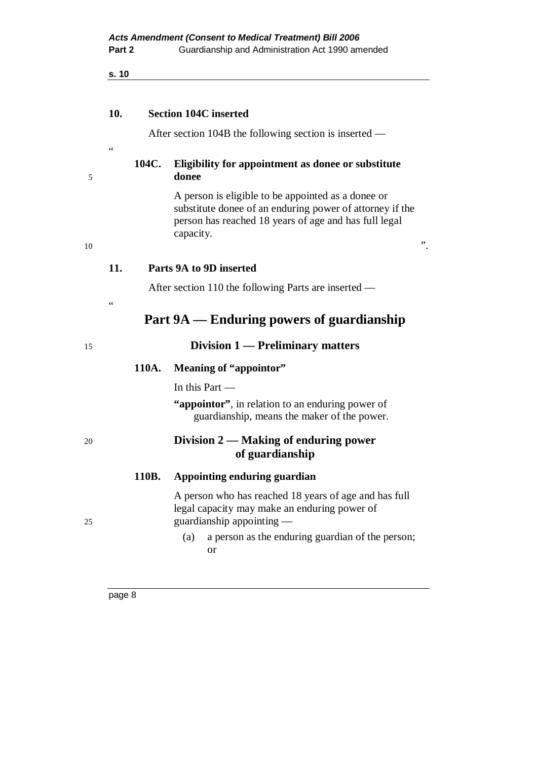$\epsilon$ 

| <b>Section 104C inserted</b> | 10. |  |  |  |
|------------------------------|-----|--|--|--|
|------------------------------|-----|--|--|--|

After section 104B the following section is inserted —

#### **104C. Eligibility for appointment as donee or substitute**  5 **donee**

 A person is eligible to be appointed as a donee or substitute donee of an enduring power of attorney if the person has reached 18 years of age and has full legal capacity.

#### **11. Parts 9A to 9D inserted**

After section 110 the following Parts are inserted —

## **Part 9A — Enduring powers of guardianship**

## 15 **Division 1 — Preliminary matters**

## **110A. Meaning of "appointor"**

In this Part —

 **"appointor"**, in relation to an enduring power of guardianship, means the maker of the power.

## 20 **Division 2 — Making of enduring power of guardianship**

#### **110B. Appointing enduring guardian**

 A person who has reached 18 years of age and has full legal capacity may make an enduring power of 25 guardianship appointing —

> (a) a person as the enduring guardian of the person; or

 $10$   $\ldots$ 

 $\overline{a}$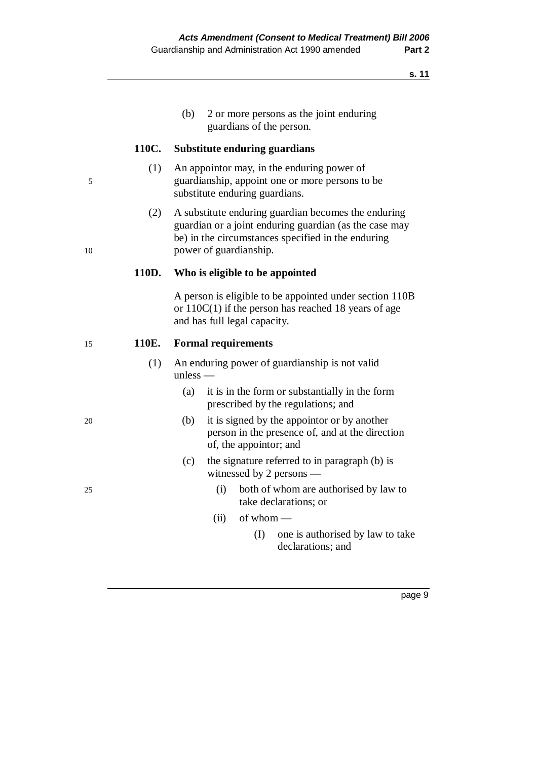(b) 2 or more persons as the joint enduring guardians of the person.

#### **110C. Substitute enduring guardians**

- (1) An appointor may, in the enduring power of 5 guardianship, appoint one or more persons to be substitute enduring guardians.
- (2) A substitute enduring guardian becomes the enduring guardian or a joint enduring guardian (as the case may be) in the circumstances specified in the enduring 10 power of guardianship.

#### **110D. Who is eligible to be appointed**

 A person is eligible to be appointed under section 110B or 110C(1) if the person has reached 18 years of age and has full legal capacity.

#### 15 **110E. Formal requirements**

- (1) An enduring power of guardianship is not valid unless —
	- (a) it is in the form or substantially in the form prescribed by the regulations; and
- 20 (b) it is signed by the appointor or by another person in the presence of, and at the direction of, the appointor; and
	- (c) the signature referred to in paragraph (b) is witnessed by 2 persons —
- 25 (i) both of whom are authorised by law to take declarations; or
	- $(ii)$  of whom
		- (I) one is authorised by law to take declarations; and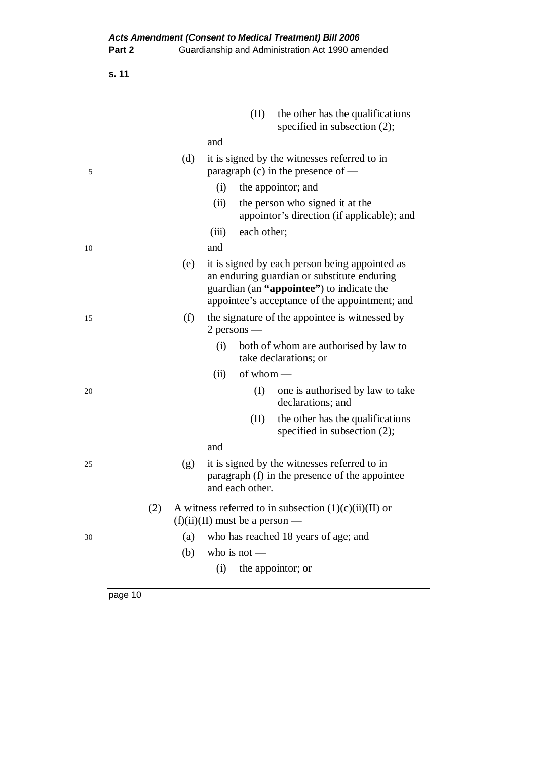|    |     | (II)<br>the other has the qualifications<br>specified in subsection $(2)$ ;                                                                                                                  |
|----|-----|----------------------------------------------------------------------------------------------------------------------------------------------------------------------------------------------|
|    |     | and                                                                                                                                                                                          |
| 5  | (d) | it is signed by the witnesses referred to in<br>paragraph $(c)$ in the presence of —                                                                                                         |
|    |     | (i)<br>the appoint or; and                                                                                                                                                                   |
|    |     | (ii)<br>the person who signed it at the<br>appoint or's direction (if applicable); and                                                                                                       |
|    |     | each other;<br>(iii)                                                                                                                                                                         |
| 10 |     | and                                                                                                                                                                                          |
|    | (e) | it is signed by each person being appointed as<br>an enduring guardian or substitute enduring<br>guardian (an "appointee") to indicate the<br>appointee's acceptance of the appointment; and |
| 15 | (f) | the signature of the appointee is witnessed by<br>$2$ persons —                                                                                                                              |
|    |     | both of whom are authorised by law to<br>(i)<br>take declarations; or                                                                                                                        |
|    |     | of whom $-$<br>(ii)                                                                                                                                                                          |
| 20 |     | (I)<br>one is authorised by law to take<br>declarations; and                                                                                                                                 |
|    |     | the other has the qualifications<br>(II)<br>specified in subsection $(2)$ ;                                                                                                                  |
|    |     | and                                                                                                                                                                                          |
| 25 | (g) | it is signed by the witnesses referred to in<br>paragraph (f) in the presence of the appointee<br>and each other.                                                                            |
|    | (2) | A witness referred to in subsection $(1)(c)(ii)(II)$ or<br>$(f)(ii)(II)$ must be a person —                                                                                                  |
| 30 | (a) | who has reached 18 years of age; and                                                                                                                                                         |
|    | (b) | who is not $-$                                                                                                                                                                               |
|    |     | the appointor; or<br>(i)                                                                                                                                                                     |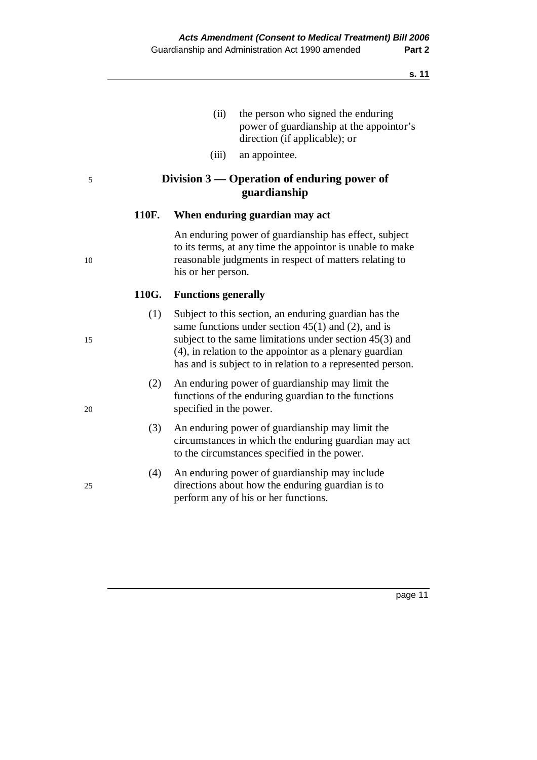- (ii) the person who signed the enduring power of guardianship at the appointor's direction (if applicable); or
- (iii) an appointee.

## 5 **Division 3 — Operation of enduring power of guardianship**

## **110F. When enduring guardian may act**

 An enduring power of guardianship has effect, subject to its terms, at any time the appointor is unable to make 10 reasonable judgments in respect of matters relating to his or her person.

## **110G. Functions generally**

- (1) Subject to this section, an enduring guardian has the same functions under section 45(1) and (2), and is 15 subject to the same limitations under section 45(3) and (4), in relation to the appointor as a plenary guardian has and is subject to in relation to a represented person.
- (2) An enduring power of guardianship may limit the functions of the enduring guardian to the functions 20 specified in the power.
	- (3) An enduring power of guardianship may limit the circumstances in which the enduring guardian may act to the circumstances specified in the power.
- (4) An enduring power of guardianship may include 25 directions about how the enduring guardian is to perform any of his or her functions.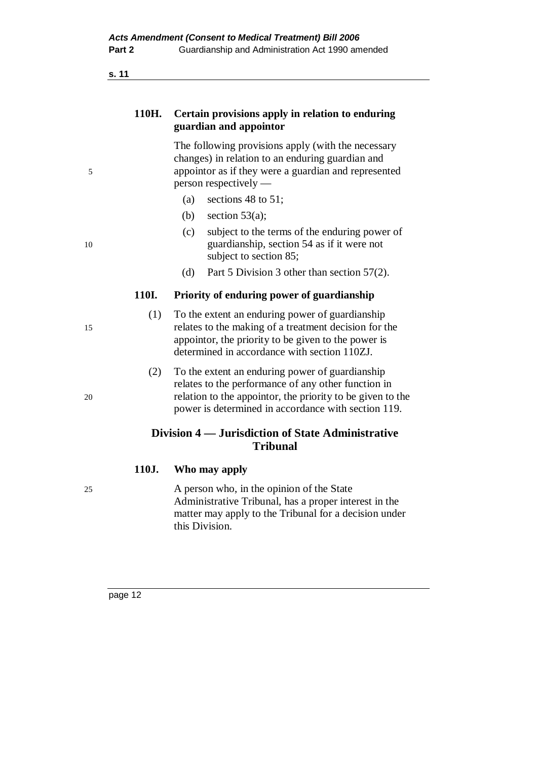## **110H. Certain provisions apply in relation to enduring guardian and appointor**

 The following provisions apply (with the necessary changes) in relation to an enduring guardian and 5 appointor as if they were a guardian and represented person respectively —

- (a) sections 48 to 51;
- (b) section  $53(a)$ ;
- (c) subject to the terms of the enduring power of 10 guardianship, section 54 as if it were not subject to section 85;
	- (d) Part 5 Division 3 other than section 57(2).

#### **110I. Priority of enduring power of guardianship**

- (1) To the extent an enduring power of guardianship 15 relates to the making of a treatment decision for the appointor, the priority to be given to the power is determined in accordance with section 110ZJ.
- (2) To the extent an enduring power of guardianship relates to the performance of any other function in 20 relation to the appointor, the priority to be given to the power is determined in accordance with section 119.

## **Division 4 — Jurisdiction of State Administrative Tribunal**

#### **110J. Who may apply**

25 A person who, in the opinion of the State Administrative Tribunal, has a proper interest in the matter may apply to the Tribunal for a decision under this Division.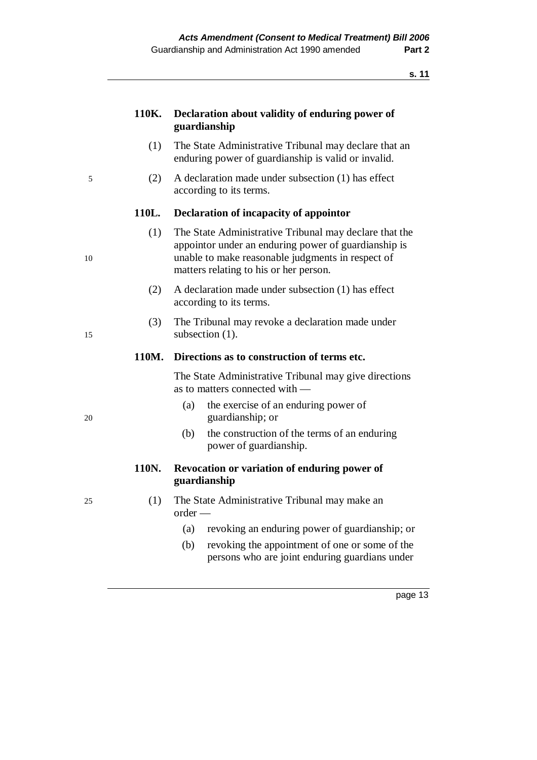| 110K. Declaration about validity of enduring power of |
|-------------------------------------------------------|
| guardianship                                          |
|                                                       |

- (1) The State Administrative Tribunal may declare that an enduring power of guardianship is valid or invalid.
- 5 (2) A declaration made under subsection (1) has effect according to its terms.

#### **110L. Declaration of incapacity of appointor**

- (1) The State Administrative Tribunal may declare that the appointor under an enduring power of guardianship is 10 unable to make reasonable judgments in respect of matters relating to his or her person.
	- (2) A declaration made under subsection (1) has effect according to its terms.
- (3) The Tribunal may revoke a declaration made under 15 subsection (1).

#### **110M. Directions as to construction of terms etc.**

 The State Administrative Tribunal may give directions as to matters connected with —

- (a) the exercise of an enduring power of 20 guardianship; or
	- (b) the construction of the terms of an enduring power of guardianship.

## **110N. Revocation or variation of enduring power of guardianship**

- 25 (1) The State Administrative Tribunal may make an order —
	- (a) revoking an enduring power of guardianship; or
	- (b) revoking the appointment of one or some of the persons who are joint enduring guardians under

- 
-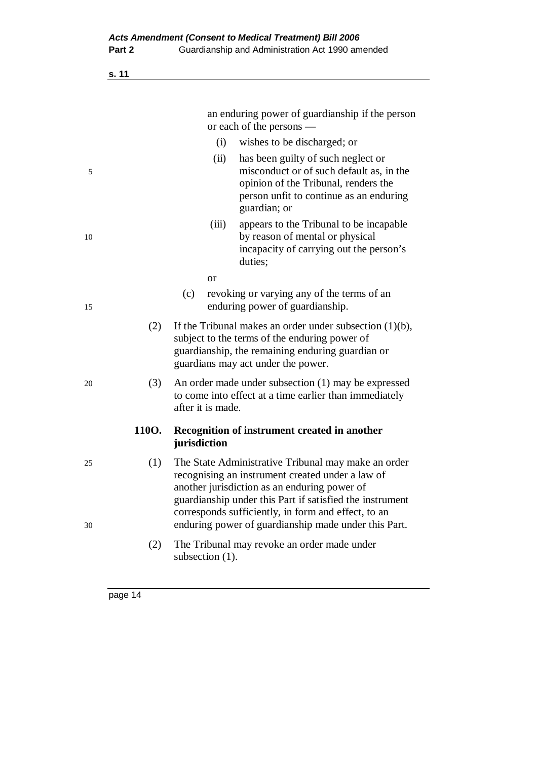|           |                   | an enduring power of guardianship if the person<br>or each of the persons —                                                                                                                                                                                                |
|-----------|-------------------|----------------------------------------------------------------------------------------------------------------------------------------------------------------------------------------------------------------------------------------------------------------------------|
|           | (i)               | wishes to be discharged; or                                                                                                                                                                                                                                                |
| 5         | (ii)              | has been guilty of such neglect or<br>misconduct or of such default as, in the<br>opinion of the Tribunal, renders the<br>person unfit to continue as an enduring<br>guardian; or                                                                                          |
| 10        | (iii)             | appears to the Tribunal to be incapable<br>by reason of mental or physical<br>incapacity of carrying out the person's<br>duties;                                                                                                                                           |
|           | <sub>or</sub>     |                                                                                                                                                                                                                                                                            |
| 15        | (c)               | revoking or varying any of the terms of an<br>enduring power of guardianship.                                                                                                                                                                                              |
| (2)       |                   | If the Tribunal makes an order under subsection $(1)(b)$ ,<br>subject to the terms of the enduring power of<br>guardianship, the remaining enduring guardian or<br>guardians may act under the power.                                                                      |
| (3)<br>20 | after it is made. | An order made under subsection (1) may be expressed<br>to come into effect at a time earlier than immediately                                                                                                                                                              |
| 110O.     | jurisdiction      | Recognition of instrument created in another                                                                                                                                                                                                                               |
| (1)<br>25 |                   | The State Administrative Tribunal may make an order<br>recognising an instrument created under a law of<br>another jurisdiction as an enduring power of<br>guardianship under this Part if satisfied the instrument<br>corresponds sufficiently, in form and effect, to an |
| 30        |                   | enduring power of guardianship made under this Part.                                                                                                                                                                                                                       |
| (2)       | subsection (1).   | The Tribunal may revoke an order made under                                                                                                                                                                                                                                |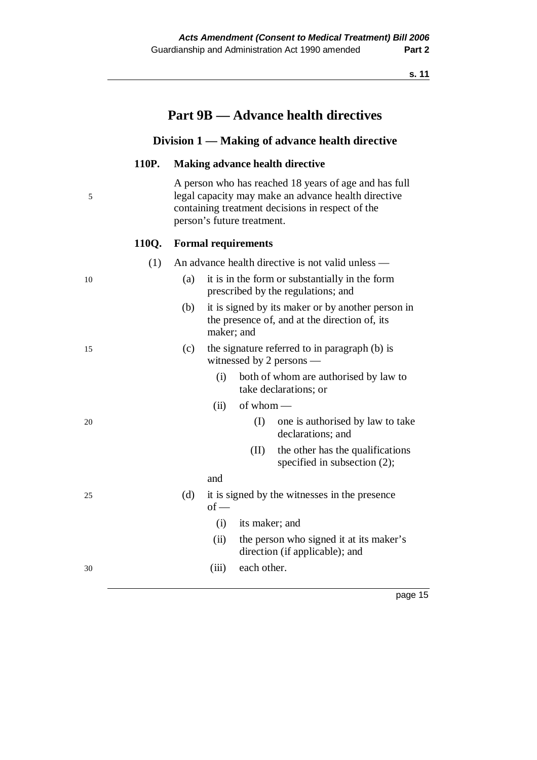|    |       |     |            |                            | <b>Part 9B — Advance health directives</b>                                                                                                                       |
|----|-------|-----|------------|----------------------------|------------------------------------------------------------------------------------------------------------------------------------------------------------------|
|    |       |     |            |                            | Division 1 — Making of advance health directive                                                                                                                  |
|    | 110P. |     |            |                            | <b>Making advance health directive</b>                                                                                                                           |
| 5  |       |     |            | person's future treatment. | A person who has reached 18 years of age and has full<br>legal capacity may make an advance health directive<br>containing treatment decisions in respect of the |
|    | 110Q. |     |            | <b>Formal requirements</b> |                                                                                                                                                                  |
|    | (1)   |     |            |                            | An advance health directive is not valid unless —                                                                                                                |
| 10 |       | (a) |            |                            | it is in the form or substantially in the form<br>prescribed by the regulations; and                                                                             |
|    |       | (b) | maker; and |                            | it is signed by its maker or by another person in<br>the presence of, and at the direction of, its                                                               |
| 15 |       | (c) |            |                            | the signature referred to in paragraph (b) is<br>witnessed by 2 persons $-$                                                                                      |
|    |       |     | (i)        |                            | both of whom are authorised by law to<br>take declarations; or                                                                                                   |
|    |       |     | (ii)       | of whom $-$                |                                                                                                                                                                  |
| 20 |       |     |            | (I)                        | one is authorised by law to take<br>declarations; and                                                                                                            |
|    |       |     |            | (II)                       | the other has the qualifications<br>specified in subsection $(2)$ ;                                                                                              |
|    |       |     | and        |                            |                                                                                                                                                                  |
| 25 |       | (d) | $of -$     |                            | it is signed by the witnesses in the presence                                                                                                                    |
|    |       |     | (i)        | its maker; and             |                                                                                                                                                                  |
|    |       |     | (ii)       |                            | the person who signed it at its maker's<br>direction (if applicable); and                                                                                        |
| 30 |       |     | (iii)      | each other.                |                                                                                                                                                                  |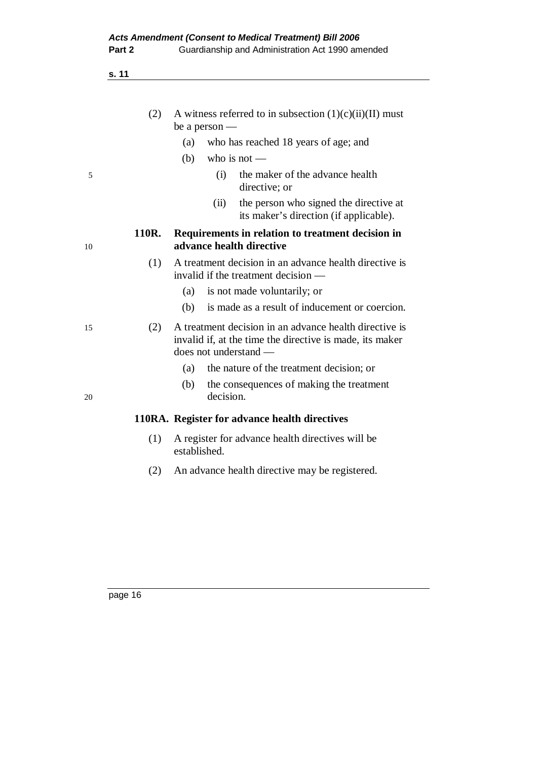|    | (2)   | A witness referred to in subsection $(1)(c)(ii)(II)$ must<br>be a person $-$                                                                |  |
|----|-------|---------------------------------------------------------------------------------------------------------------------------------------------|--|
|    |       | who has reached 18 years of age; and<br>(a)                                                                                                 |  |
|    |       | who is not $-$<br>(b)                                                                                                                       |  |
| 5  |       | the maker of the advance health<br>(i)<br>directive; or                                                                                     |  |
|    |       | the person who signed the directive at<br>(ii)<br>its maker's direction (if applicable).                                                    |  |
| 10 | 110R. | Requirements in relation to treatment decision in<br>advance health directive                                                               |  |
|    | (1)   | A treatment decision in an advance health directive is<br>invalid if the treatment decision —                                               |  |
|    |       | is not made voluntarily; or<br>(a)                                                                                                          |  |
|    |       | is made as a result of inducement or coercion.<br>(b)                                                                                       |  |
| 15 | (2)   | A treatment decision in an advance health directive is<br>invalid if, at the time the directive is made, its maker<br>does not understand - |  |
|    |       | the nature of the treatment decision; or<br>(a)                                                                                             |  |
| 20 |       | (b)<br>the consequences of making the treatment<br>decision.                                                                                |  |
|    |       | 110RA. Register for advance health directives                                                                                               |  |
|    | (1)   | A register for advance health directives will be<br>established.                                                                            |  |
|    | (2)   | An advance health directive may be registered.                                                                                              |  |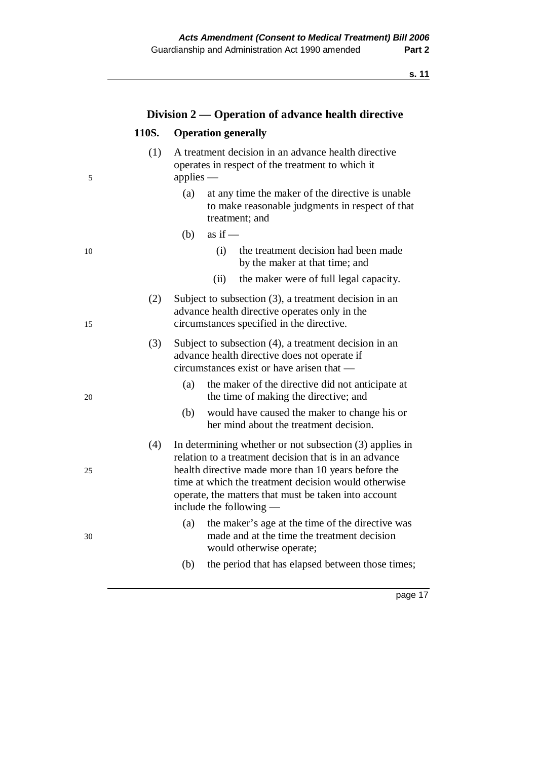|    |       | Division 2 — Operation of advance health directive                                                                                                                                                                                                                                                                      |
|----|-------|-------------------------------------------------------------------------------------------------------------------------------------------------------------------------------------------------------------------------------------------------------------------------------------------------------------------------|
|    | 110S. | <b>Operation generally</b>                                                                                                                                                                                                                                                                                              |
| 5  | (1)   | A treatment decision in an advance health directive<br>operates in respect of the treatment to which it<br>applies $-$                                                                                                                                                                                                  |
|    |       | at any time the maker of the directive is unable<br>(a)<br>to make reasonable judgments in respect of that<br>treatment; and                                                                                                                                                                                            |
|    |       | as if $-$<br>(b)                                                                                                                                                                                                                                                                                                        |
| 10 |       | (i)<br>the treatment decision had been made<br>by the maker at that time; and                                                                                                                                                                                                                                           |
|    |       | (ii)<br>the maker were of full legal capacity.                                                                                                                                                                                                                                                                          |
| 15 | (2)   | Subject to subsection $(3)$ , a treatment decision in an<br>advance health directive operates only in the<br>circumstances specified in the directive.                                                                                                                                                                  |
|    | (3)   | Subject to subsection (4), a treatment decision in an<br>advance health directive does not operate if<br>circumstances exist or have arisen that —                                                                                                                                                                      |
| 20 |       | (a)<br>the maker of the directive did not anticipate at<br>the time of making the directive; and                                                                                                                                                                                                                        |
|    |       | (b)<br>would have caused the maker to change his or<br>her mind about the treatment decision.                                                                                                                                                                                                                           |
| 25 | (4)   | In determining whether or not subsection $(3)$ applies in<br>relation to a treatment decision that is in an advance<br>health directive made more than 10 years before the<br>time at which the treatment decision would otherwise<br>operate, the matters that must be taken into account<br>include the following $-$ |
| 30 |       | the maker's age at the time of the directive was<br>(a)<br>made and at the time the treatment decision<br>would otherwise operate;                                                                                                                                                                                      |
|    |       | (b)<br>the period that has elapsed between those times;                                                                                                                                                                                                                                                                 |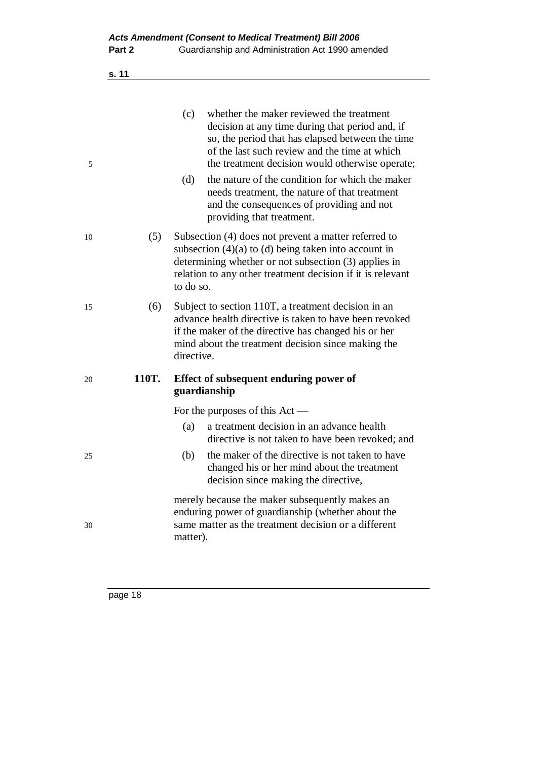| v |
|---|
|---|

| 5  |       | (c)        | whether the maker reviewed the treatment<br>decision at any time during that period and, if<br>so, the period that has elapsed between the time<br>of the last such review and the time at which<br>the treatment decision would otherwise operate; |
|----|-------|------------|-----------------------------------------------------------------------------------------------------------------------------------------------------------------------------------------------------------------------------------------------------|
|    |       | (d)        | the nature of the condition for which the maker<br>needs treatment, the nature of that treatment<br>and the consequences of providing and not<br>providing that treatment.                                                                          |
| 10 | (5)   | to do so.  | Subsection (4) does not prevent a matter referred to<br>subsection $(4)(a)$ to $(d)$ being taken into account in<br>determining whether or not subsection (3) applies in<br>relation to any other treatment decision if it is relevant              |
| 15 | (6)   | directive. | Subject to section 110T, a treatment decision in an<br>advance health directive is taken to have been revoked<br>if the maker of the directive has changed his or her<br>mind about the treatment decision since making the                         |
| 20 | 110T. |            | Effect of subsequent enduring power of<br>guardianship                                                                                                                                                                                              |
|    |       |            | For the purposes of this $Act$ —                                                                                                                                                                                                                    |
|    |       | (a)        | a treatment decision in an advance health<br>directive is not taken to have been revoked; and                                                                                                                                                       |
| 25 |       | (b)        | the maker of the directive is not taken to have<br>changed his or her mind about the treatment<br>decision since making the directive,                                                                                                              |
| 30 |       | matter).   | merely because the maker subsequently makes an<br>enduring power of guardianship (whether about the<br>same matter as the treatment decision or a different                                                                                         |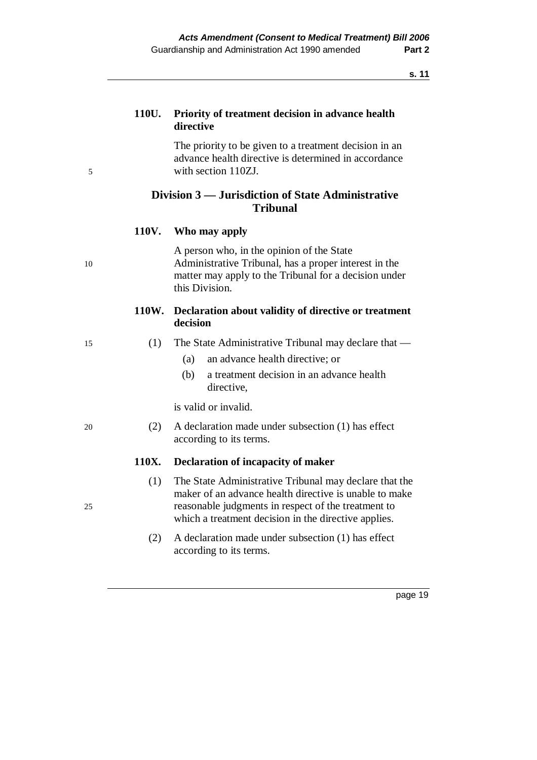## **110U. Priority of treatment decision in advance health directive**

 The priority to be given to a treatment decision in an advance health directive is determined in accordance 5 with section 110ZJ.

## **Division 3 — Jurisdiction of State Administrative Tribunal**

#### **110V. Who may apply**

 A person who, in the opinion of the State 10 Administrative Tribunal, has a proper interest in the matter may apply to the Tribunal for a decision under this Division.

#### **110W. Declaration about validity of directive or treatment decision**

- 15 (1) The State Administrative Tribunal may declare that
	- (a) an advance health directive; or
	- (b) a treatment decision in an advance health directive,

is valid or invalid.

20 (2) A declaration made under subsection (1) has effect according to its terms.

#### **110X. Declaration of incapacity of maker**

- (1) The State Administrative Tribunal may declare that the maker of an advance health directive is unable to make 25 reasonable judgments in respect of the treatment to which a treatment decision in the directive applies.
	- (2) A declaration made under subsection (1) has effect according to its terms.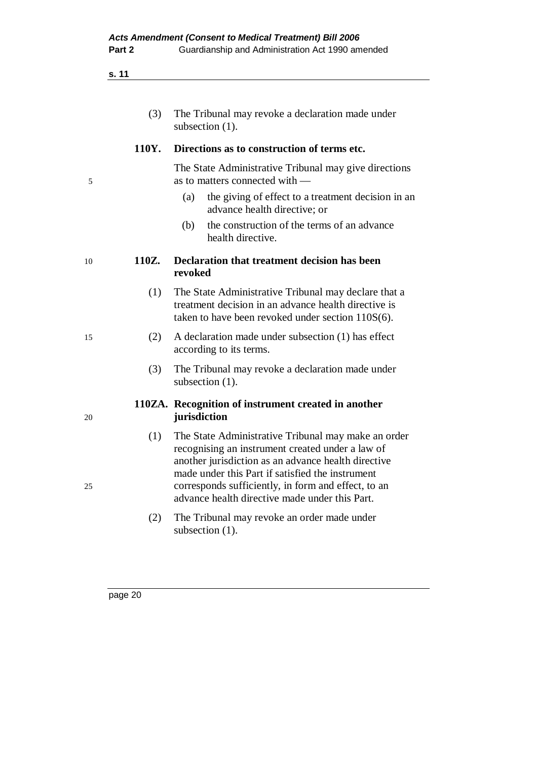| The Tribunal may revoke a declaration made under |
|--------------------------------------------------|
| subsection $(1)$ .                               |

#### **110Y. Directions as to construction of terms etc.**

 The State Administrative Tribunal may give directions 5 as to matters connected with —

- (a) the giving of effect to a treatment decision in an advance health directive; or
- (b) the construction of the terms of an advance health directive.

#### 10 **110Z. Declaration that treatment decision has been revoked**

- (1) The State Administrative Tribunal may declare that a treatment decision in an advance health directive is taken to have been revoked under section 110S(6).
- 15 (2) A declaration made under subsection (1) has effect according to its terms.
	- (3) The Tribunal may revoke a declaration made under subsection  $(1)$ .

#### **110ZA. Recognition of instrument created in another**  20 **jurisdiction**

- (1) The State Administrative Tribunal may make an order recognising an instrument created under a law of another jurisdiction as an advance health directive made under this Part if satisfied the instrument 25 corresponds sufficiently, in form and effect, to an advance health directive made under this Part.
	- (2) The Tribunal may revoke an order made under subsection  $(1)$ .
-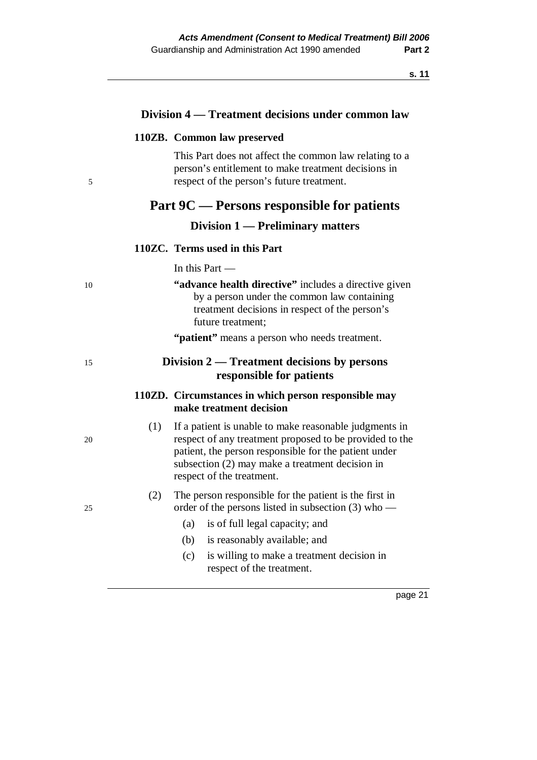|    |     | Division 4 — Treatment decisions under common law                                                                                                                                                                                                          |
|----|-----|------------------------------------------------------------------------------------------------------------------------------------------------------------------------------------------------------------------------------------------------------------|
|    |     | 110ZB. Common law preserved                                                                                                                                                                                                                                |
| 5  |     | This Part does not affect the common law relating to a<br>person's entitlement to make treatment decisions in<br>respect of the person's future treatment.                                                                                                 |
|    |     | Part 9C — Persons responsible for patients                                                                                                                                                                                                                 |
|    |     | Division 1 — Preliminary matters                                                                                                                                                                                                                           |
|    |     | 110ZC. Terms used in this Part                                                                                                                                                                                                                             |
|    |     | In this Part $-$                                                                                                                                                                                                                                           |
| 10 |     | "advance health directive" includes a directive given<br>by a person under the common law containing<br>treatment decisions in respect of the person's<br>future treatment;                                                                                |
|    |     | "patient" means a person who needs treatment.                                                                                                                                                                                                              |
| 15 |     | Division $2$ — Treatment decisions by persons<br>responsible for patients                                                                                                                                                                                  |
|    |     | 110ZD. Circumstances in which person responsible may<br>make treatment decision                                                                                                                                                                            |
| 20 | (1) | If a patient is unable to make reasonable judgments in<br>respect of any treatment proposed to be provided to the<br>patient, the person responsible for the patient under<br>subsection (2) may make a treatment decision in<br>respect of the treatment. |
| 25 | (2) | The person responsible for the patient is the first in<br>order of the persons listed in subsection $(3)$ who —                                                                                                                                            |
|    |     | is of full legal capacity; and<br>(a)                                                                                                                                                                                                                      |
|    |     | (b)<br>is reasonably available; and                                                                                                                                                                                                                        |
|    |     | (c)<br>is willing to make a treatment decision in<br>respect of the treatment.                                                                                                                                                                             |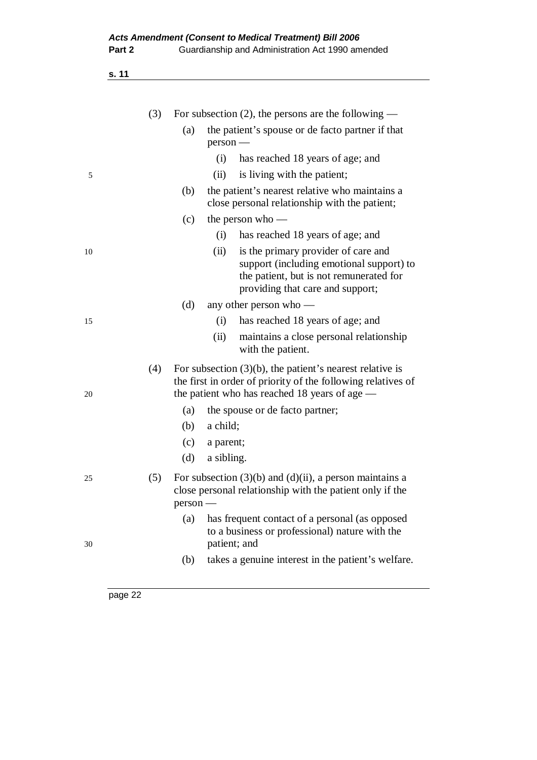| .,<br>۰. |
|----------|
|----------|

| the patient's spouse or de facto partner if that                                                                            |
|-----------------------------------------------------------------------------------------------------------------------------|
|                                                                                                                             |
| has reached 18 years of age; and                                                                                            |
|                                                                                                                             |
| the patient's nearest relative who maintains a<br>close personal relationship with the patient;                             |
|                                                                                                                             |
| has reached 18 years of age; and                                                                                            |
| is the primary provider of care and<br>support (including emotional support) to<br>the patient, but is not remunerated for  |
|                                                                                                                             |
| has reached 18 years of age; and                                                                                            |
| maintains a close personal relationship                                                                                     |
| For subsection $(3)(b)$ , the patient's nearest relative is<br>the first in order of priority of the following relatives of |
|                                                                                                                             |
|                                                                                                                             |
|                                                                                                                             |
|                                                                                                                             |
| For subsection $(3)(b)$ and $(d)(ii)$ , a person maintains a<br>close personal relationship with the patient only if the    |
| has frequent contact of a personal (as opposed<br>to a business or professional) nature with the                            |
| takes a genuine interest in the patient's welfare.                                                                          |
|                                                                                                                             |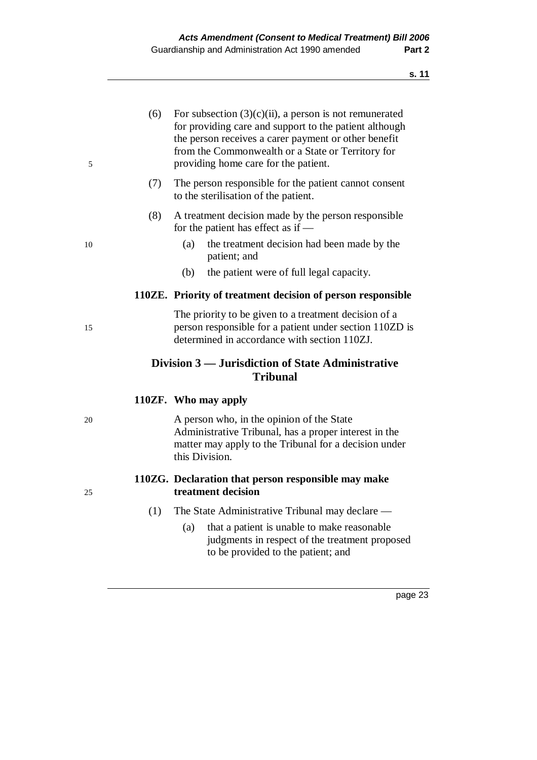| 5  | (6) | For subsection $(3)(c)(ii)$ , a person is not remunerated<br>for providing care and support to the patient although<br>the person receives a carer payment or other benefit<br>from the Commonwealth or a State or Territory for<br>providing home care for the patient. |  |
|----|-----|--------------------------------------------------------------------------------------------------------------------------------------------------------------------------------------------------------------------------------------------------------------------------|--|
|    | (7) | The person responsible for the patient cannot consent<br>to the sterilisation of the patient.                                                                                                                                                                            |  |
|    | (8) | A treatment decision made by the person responsible<br>for the patient has effect as if —                                                                                                                                                                                |  |
| 10 |     | the treatment decision had been made by the<br>(a)<br>patient; and                                                                                                                                                                                                       |  |
|    |     | (b)<br>the patient were of full legal capacity.                                                                                                                                                                                                                          |  |
|    |     | 110ZE. Priority of treatment decision of person responsible                                                                                                                                                                                                              |  |
| 15 |     | The priority to be given to a treatment decision of a<br>person responsible for a patient under section 110ZD is<br>determined in accordance with section 110ZJ.                                                                                                         |  |
|    |     | Division 3 — Jurisdiction of State Administrative<br><b>Tribunal</b>                                                                                                                                                                                                     |  |
|    |     | 110ZF. Who may apply                                                                                                                                                                                                                                                     |  |
| 20 |     | A person who, in the opinion of the State<br>Administrative Tribunal, has a proper interest in the<br>matter may apply to the Tribunal for a decision under<br>this Division.                                                                                            |  |
| 25 |     | 110ZG. Declaration that person responsible may make<br>treatment decision                                                                                                                                                                                                |  |
|    | (1) | The State Administrative Tribunal may declare —<br>that a patient is unable to make reasonable<br>(a)                                                                                                                                                                    |  |

judgments in respect of the treatment proposed

to be provided to the patient; and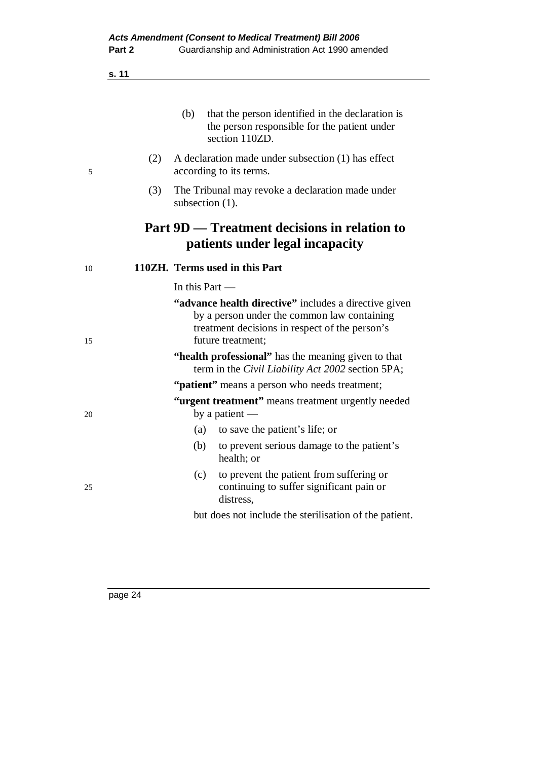|          | that the person identified in the declaration is<br>(b)<br>the person responsible for the patient under<br>section 110ZD.                                                   |
|----------|-----------------------------------------------------------------------------------------------------------------------------------------------------------------------------|
| (2)<br>5 | A declaration made under subsection (1) has effect<br>according to its terms.                                                                                               |
| (3)      | The Tribunal may revoke a declaration made under<br>subsection $(1)$ .                                                                                                      |
|          | Part 9D — Treatment decisions in relation to<br>patients under legal incapacity                                                                                             |
| 10       | 110ZH. Terms used in this Part                                                                                                                                              |
|          | In this Part —                                                                                                                                                              |
| 15       | "advance health directive" includes a directive given<br>by a person under the common law containing<br>treatment decisions in respect of the person's<br>future treatment: |
|          | "health professional" has the meaning given to that<br>term in the Civil Liability Act 2002 section 5PA;                                                                    |
|          | "patient" means a person who needs treatment;                                                                                                                               |
| 20       | "urgent treatment" means treatment urgently needed<br>by a patient $-$                                                                                                      |
|          | to save the patient's life; or<br>(a)                                                                                                                                       |
|          | (b)<br>to prevent serious damage to the patient's<br>health; or                                                                                                             |
| 25       | to prevent the patient from suffering or<br>(c)<br>continuing to suffer significant pain or<br>distress,                                                                    |
|          | but does not include the sterilisation of the patient.                                                                                                                      |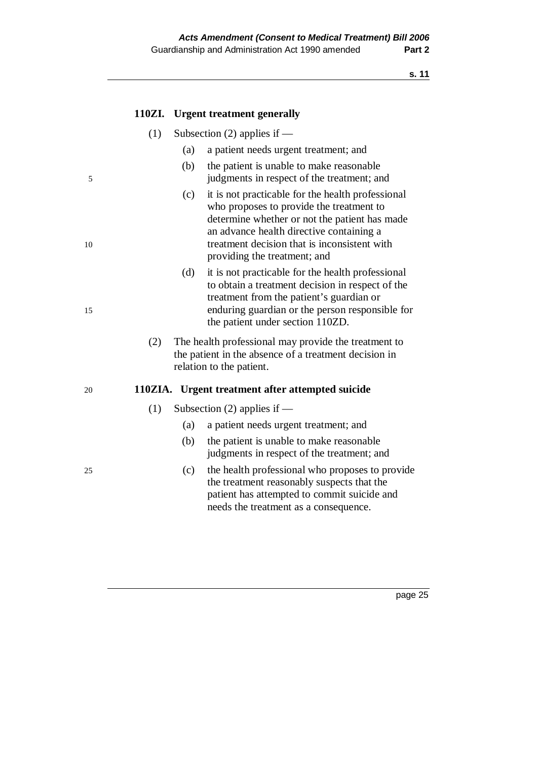|    | 110ZI. | <b>Urgent treatment generally</b>                                                                                                                                                                                                                                                 |
|----|--------|-----------------------------------------------------------------------------------------------------------------------------------------------------------------------------------------------------------------------------------------------------------------------------------|
|    | (1)    | Subsection $(2)$ applies if —                                                                                                                                                                                                                                                     |
|    |        | (a)<br>a patient needs urgent treatment; and                                                                                                                                                                                                                                      |
| 5  |        | (b)<br>the patient is unable to make reasonable<br>judgments in respect of the treatment; and                                                                                                                                                                                     |
| 10 |        | it is not practicable for the health professional<br>(c)<br>who proposes to provide the treatment to<br>determine whether or not the patient has made<br>an advance health directive containing a<br>treatment decision that is inconsistent with<br>providing the treatment; and |
| 15 |        | (d)<br>it is not practicable for the health professional<br>to obtain a treatment decision in respect of the<br>treatment from the patient's guardian or<br>enduring guardian or the person responsible for<br>the patient under section 110ZD.                                   |
|    | (2)    | The health professional may provide the treatment to<br>the patient in the absence of a treatment decision in<br>relation to the patient.                                                                                                                                         |
| 20 |        | 110ZIA. Urgent treatment after attempted suicide                                                                                                                                                                                                                                  |
|    | (1)    | Subsection $(2)$ applies if —                                                                                                                                                                                                                                                     |
|    |        | (a)<br>a patient needs urgent treatment; and                                                                                                                                                                                                                                      |
|    |        | (b)<br>the patient is unable to make reasonable<br>judgments in respect of the treatment; and                                                                                                                                                                                     |
| 25 |        | the health professional who proposes to provide<br>(c)<br>the treatment reasonably suspects that the<br>patient has attempted to commit suicide and                                                                                                                               |

needs the treatment as a consequence.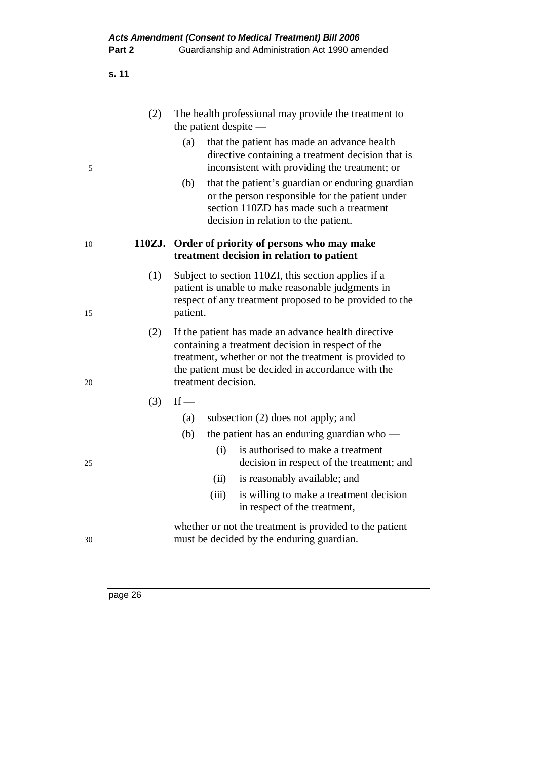| .,<br>۰. |
|----------|
|----------|

|    | (2) | The health professional may provide the treatment to<br>the patient despite —                                                                                                                                                                   |
|----|-----|-------------------------------------------------------------------------------------------------------------------------------------------------------------------------------------------------------------------------------------------------|
| 5  |     | (a)<br>that the patient has made an advance health<br>directive containing a treatment decision that is<br>inconsistent with providing the treatment; or                                                                                        |
|    |     | that the patient's guardian or enduring guardian<br>(b)<br>or the person responsible for the patient under<br>section 110ZD has made such a treatment<br>decision in relation to the patient.                                                   |
| 10 |     | 110ZJ. Order of priority of persons who may make<br>treatment decision in relation to patient                                                                                                                                                   |
| 15 | (1) | Subject to section 110ZI, this section applies if a<br>patient is unable to make reasonable judgments in<br>respect of any treatment proposed to be provided to the<br>patient.                                                                 |
| 20 | (2) | If the patient has made an advance health directive<br>containing a treatment decision in respect of the<br>treatment, whether or not the treatment is provided to<br>the patient must be decided in accordance with the<br>treatment decision. |
|    | (3) | $If$ —                                                                                                                                                                                                                                          |
|    |     | subsection (2) does not apply; and<br>(a)                                                                                                                                                                                                       |
|    |     | (b)<br>the patient has an enduring guardian who $-$                                                                                                                                                                                             |
| 25 |     | is authorised to make a treatment<br>(i)<br>decision in respect of the treatment; and                                                                                                                                                           |
|    |     | (ii)<br>is reasonably available; and                                                                                                                                                                                                            |
|    |     | (iii)<br>is willing to make a treatment decision<br>in respect of the treatment,                                                                                                                                                                |
| 30 |     | whether or not the treatment is provided to the patient<br>must be decided by the enduring guardian.                                                                                                                                            |
|    |     |                                                                                                                                                                                                                                                 |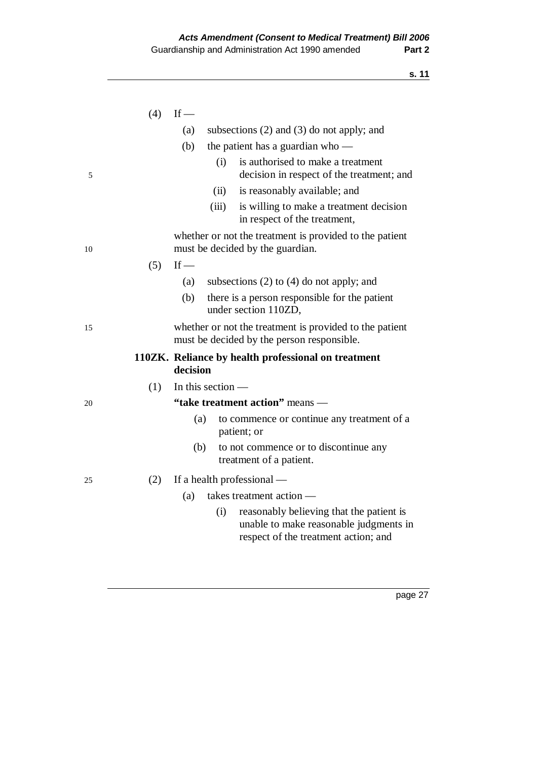|    | (4) | $If$ —                                                                                                                            |  |
|----|-----|-----------------------------------------------------------------------------------------------------------------------------------|--|
|    |     | (a)<br>subsections $(2)$ and $(3)$ do not apply; and                                                                              |  |
|    |     | (b)<br>the patient has a guardian who $-$                                                                                         |  |
| 5  |     | is authorised to make a treatment<br>(i)<br>decision in respect of the treatment; and                                             |  |
|    |     | (ii)<br>is reasonably available; and                                                                                              |  |
|    |     | (iii)<br>is willing to make a treatment decision<br>in respect of the treatment,                                                  |  |
| 10 |     | whether or not the treatment is provided to the patient<br>must be decided by the guardian.                                       |  |
|    | (5) | $If$ —                                                                                                                            |  |
|    |     | subsections $(2)$ to $(4)$ do not apply; and<br>(a)                                                                               |  |
|    |     | there is a person responsible for the patient<br>(b)<br>under section 110ZD,                                                      |  |
| 15 |     | whether or not the treatment is provided to the patient                                                                           |  |
|    |     | must be decided by the person responsible.                                                                                        |  |
|    |     | 110ZK. Reliance by health professional on treatment<br>decision                                                                   |  |
|    | (1) | In this section $-$                                                                                                               |  |
| 20 |     | "take treatment action" means -                                                                                                   |  |
|    |     | (a)<br>to commence or continue any treatment of a<br>patient; or                                                                  |  |
|    |     | (b)<br>to not commence or to discontinue any<br>treatment of a patient.                                                           |  |
| 25 | (2) | If a health professional —                                                                                                        |  |
|    |     | (a)<br>takes treatment action -                                                                                                   |  |
|    |     | reasonably believing that the patient is<br>(i)<br>unable to make reasonable judgments in<br>respect of the treatment action; and |  |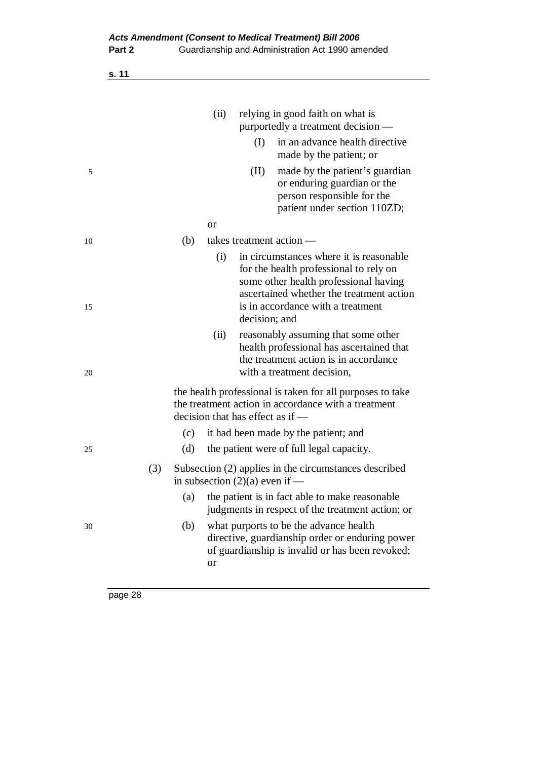|    |     |     | (ii) |                                  | relying in good faith on what is<br>purportedly a treatment decision —                                                                                                                                       |
|----|-----|-----|------|----------------------------------|--------------------------------------------------------------------------------------------------------------------------------------------------------------------------------------------------------------|
|    |     |     |      | (I)                              | in an advance health directive<br>made by the patient; or                                                                                                                                                    |
| 5  |     |     |      | (II)                             | made by the patient's guardian<br>or enduring guardian or the<br>person responsible for the<br>patient under section 110ZD;                                                                                  |
|    |     |     | or   |                                  |                                                                                                                                                                                                              |
| 10 |     | (b) |      |                                  | takes treatment action —                                                                                                                                                                                     |
| 15 |     |     | (i)  | decision; and                    | in circumstances where it is reasonable.<br>for the health professional to rely on<br>some other health professional having<br>ascertained whether the treatment action<br>is in accordance with a treatment |
| 20 |     |     | (ii) |                                  | reasonably assuming that some other<br>health professional has ascertained that<br>the treatment action is in accordance<br>with a treatment decision,                                                       |
|    |     |     |      | decision that has effect as if — | the health professional is taken for all purposes to take<br>the treatment action in accordance with a treatment                                                                                             |
|    |     | (c) |      |                                  | it had been made by the patient; and                                                                                                                                                                         |
| 25 |     | (d) |      |                                  | the patient were of full legal capacity.                                                                                                                                                                     |
|    | (3) |     |      | in subsection $(2)(a)$ even if — | Subsection (2) applies in the circumstances described                                                                                                                                                        |
|    |     | (a) |      |                                  | the patient is in fact able to make reasonable<br>judgments in respect of the treatment action; or                                                                                                           |
| 30 |     | (b) | or   |                                  | what purports to be the advance health<br>directive, guardianship order or enduring power<br>of guardianship is invalid or has been revoked;                                                                 |
|    |     |     |      |                                  |                                                                                                                                                                                                              |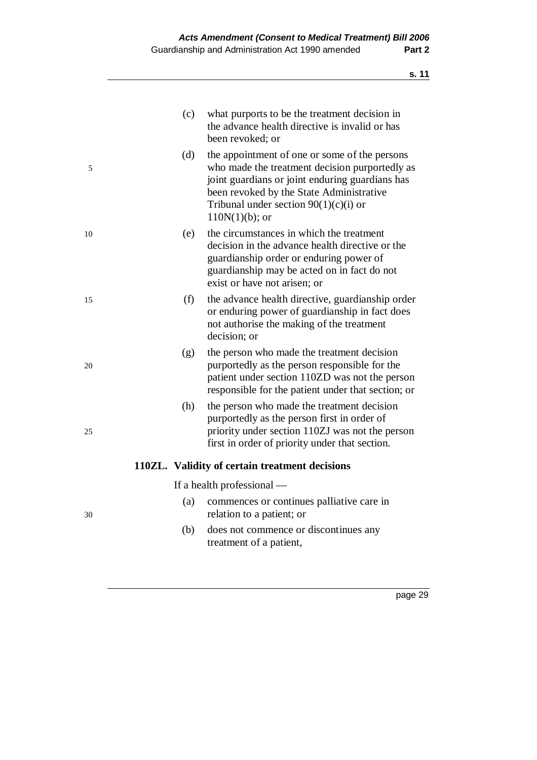|    | (c) | what purports to be the treatment decision in<br>the advance health directive is invalid or has<br>been revoked; or                                                                                                                                            |
|----|-----|----------------------------------------------------------------------------------------------------------------------------------------------------------------------------------------------------------------------------------------------------------------|
| 5  | (d) | the appointment of one or some of the persons<br>who made the treatment decision purportedly as<br>joint guardians or joint enduring guardians has<br>been revoked by the State Administrative<br>Tribunal under section $90(1)(c)(i)$ or<br>$110N(1)(b)$ ; or |
| 10 | (e) | the circumstances in which the treatment<br>decision in the advance health directive or the<br>guardianship order or enduring power of<br>guardianship may be acted on in fact do not<br>exist or have not arisen; or                                          |
| 15 | (f) | the advance health directive, guardianship order<br>or enduring power of guardianship in fact does<br>not authorise the making of the treatment<br>decision; or                                                                                                |
| 20 | (g) | the person who made the treatment decision<br>purportedly as the person responsible for the<br>patient under section 110ZD was not the person<br>responsible for the patient under that section; or                                                            |
| 25 | (h) | the person who made the treatment decision<br>purportedly as the person first in order of<br>priority under section 110ZJ was not the person<br>first in order of priority under that section.                                                                 |
|    |     | 110ZL. Validity of certain treatment decisions                                                                                                                                                                                                                 |
|    |     | If a health professional —                                                                                                                                                                                                                                     |
| 30 | (a) | commences or continues palliative care in<br>relation to a patient; or                                                                                                                                                                                         |
|    | (b) | does not commence or discontinues any<br>treatment of a patient,                                                                                                                                                                                               |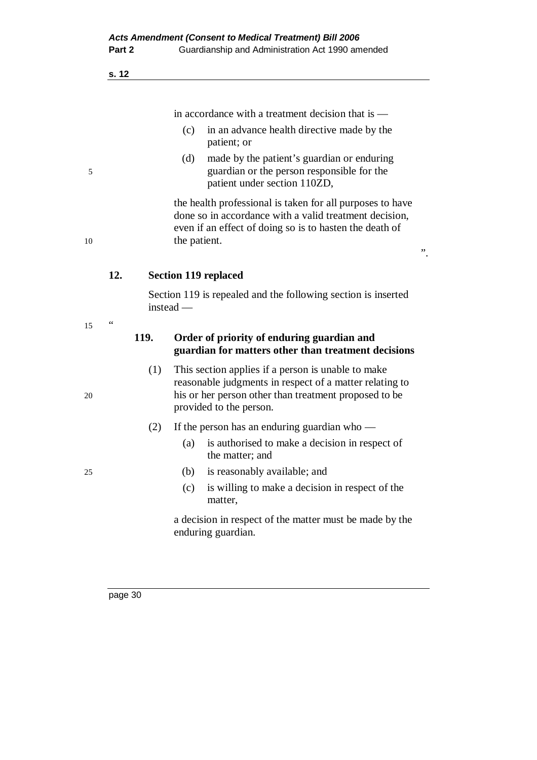in accordance with a treatment decision that is —

- (c) in an advance health directive made by the patient; or
- (d) made by the patient's guardian or enduring 5 guardian or the person responsible for the patient under section 110ZD,

 the health professional is taken for all purposes to have done so in accordance with a valid treatment decision, even if an effect of doing so is to hasten the death of 10 the patient.

".

## **12. Section 119 replaced**

 Section 119 is repealed and the following section is inserted instead —

## **119. Order of priority of enduring guardian and guardian for matters other than treatment decisions**

- (1) This section applies if a person is unable to make reasonable judgments in respect of a matter relating to 20 his or her person other than treatment proposed to be provided to the person.
	- (2) If the person has an enduring guardian who
		- (a) is authorised to make a decision in respect of the matter; and
- 25 (b) is reasonably available; and
	- (c) is willing to make a decision in respect of the matter,

 a decision in respect of the matter must be made by the enduring guardian.

page 30

 $15$  "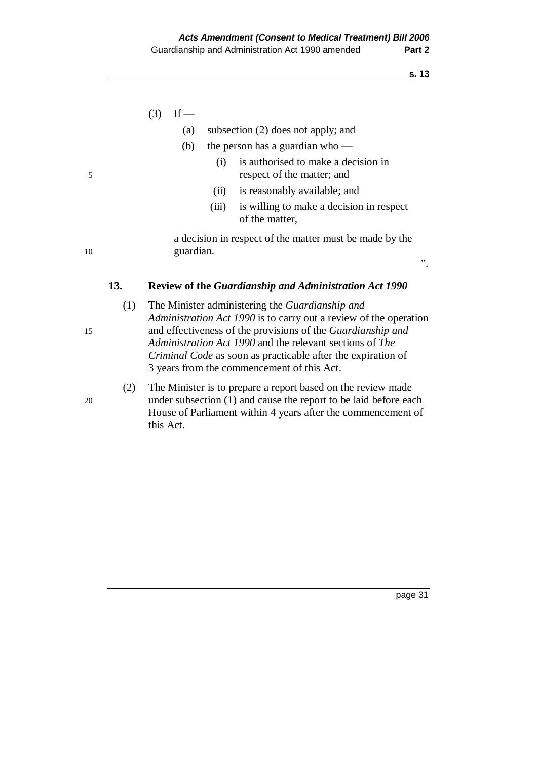|    |     | (3) | If —      |       |                                                                                                                                                                                            |              |
|----|-----|-----|-----------|-------|--------------------------------------------------------------------------------------------------------------------------------------------------------------------------------------------|--------------|
|    |     |     | (a)       |       | subsection $(2)$ does not apply; and                                                                                                                                                       |              |
|    |     |     | (b)       |       | the person has a guardian who $-$                                                                                                                                                          |              |
| 5  |     |     |           | (i)   | is authorised to make a decision in<br>respect of the matter; and                                                                                                                          |              |
|    |     |     |           | (i)   | is reasonably available; and                                                                                                                                                               |              |
|    |     |     |           | (iii) | is willing to make a decision in respect<br>of the matter,                                                                                                                                 |              |
| 10 |     |     | guardian. |       | a decision in respect of the matter must be made by the                                                                                                                                    | $, \, \cdot$ |
|    | 13. |     |           |       | <b>Review of the Guardianship and Administration Act 1990</b>                                                                                                                              |              |
| 15 | (1) |     |           |       | The Minister administering the Guardianship and<br><i>Administration Act 1990</i> is to carry out a review of the operation<br>and effectiveness of the provisions of the Guardianship and |              |

*Administration Act 1990* and the relevant sections of *The Criminal Code* as soon as practicable after the expiration of

(2) The Minister is to prepare a report based on the review made

House of Parliament within 4 years after the commencement of

3 years from the commencement of this Act.

- 
- 20 under subsection (1) and cause the report to be laid before each

this Act.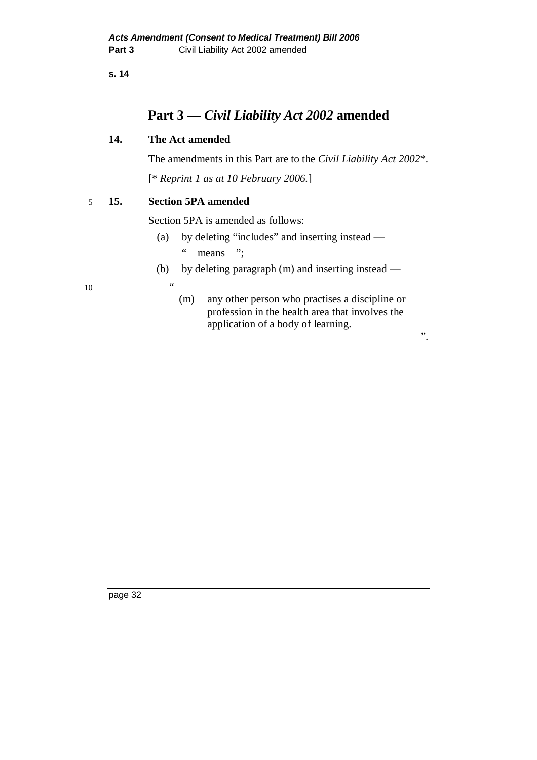# **Part 3 —** *Civil Liability Act 2002* **amended**

#### **14. The Act amended**

The amendments in this Part are to the *Civil Liability Act 2002*\*.

[\* *Reprint 1 as at 10 February 2006.*]

5 **15. Section 5PA amended** 

Section 5PA is amended as follows:

- (a) by deleting "includes" and inserting instead " means ":
- (b) by deleting paragraph (m) and inserting instead —

 $10 \hspace{1.5cm} \cdots$ 

 (m) any other person who practises a discipline or profession in the health area that involves the application of a body of learning.

".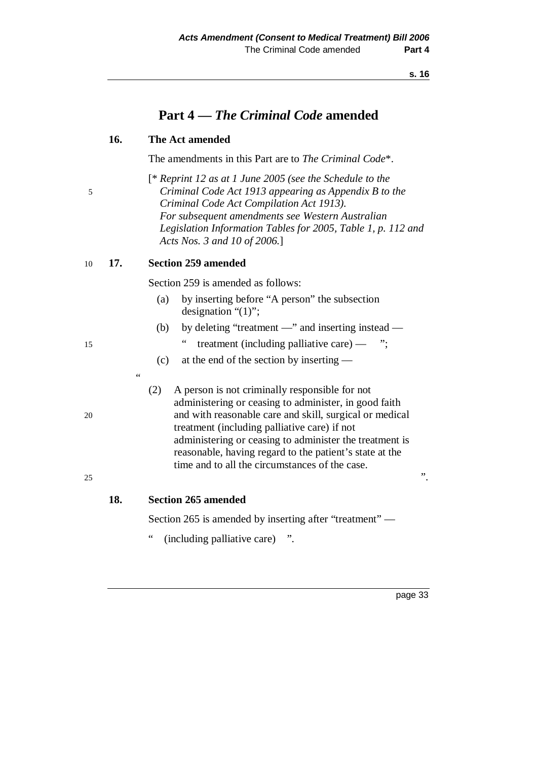| 5        |     | $[$ * Reprint 12 as at 1 June 2005 (see the Schedule to the<br>Criminal Code Act 1913 appearing as Appendix B to the<br>Criminal Code Act Compilation Act 1913).<br>For subsequent amendments see Western Australian<br>Legislation Information Tables for 2005, Table 1, p. 112 and<br>Acts Nos. 3 and 10 of 2006.]                                                                                    |
|----------|-----|---------------------------------------------------------------------------------------------------------------------------------------------------------------------------------------------------------------------------------------------------------------------------------------------------------------------------------------------------------------------------------------------------------|
| 10       | 17. | <b>Section 259 amended</b>                                                                                                                                                                                                                                                                                                                                                                              |
|          |     | Section 259 is amended as follows:                                                                                                                                                                                                                                                                                                                                                                      |
|          |     | by inserting before "A person" the subsection<br>(a)<br>designation " $(1)$ ";                                                                                                                                                                                                                                                                                                                          |
|          |     | by deleting "treatment —" and inserting instead —<br>(b)                                                                                                                                                                                                                                                                                                                                                |
| 15       |     | treatment (including palliative care) $-$ ";                                                                                                                                                                                                                                                                                                                                                            |
|          |     | at the end of the section by inserting —<br>(c)                                                                                                                                                                                                                                                                                                                                                         |
| 20<br>25 |     | (2)<br>A person is not criminally responsible for not<br>administering or ceasing to administer, in good faith<br>and with reasonable care and skill, surgical or medical<br>treatment (including palliative care) if not<br>administering or ceasing to administer the treatment is<br>reasonable, having regard to the patient's state at the<br>time and to all the circumstances of the case.<br>". |
|          | 18. | <b>Section 265 amended</b>                                                                                                                                                                                                                                                                                                                                                                              |
|          |     | Section 265 is amended by inserting after "treatment" —                                                                                                                                                                                                                                                                                                                                                 |
|          |     | $\zeta$ $\zeta$<br>(including palliative care)                                                                                                                                                                                                                                                                                                                                                          |
|          |     |                                                                                                                                                                                                                                                                                                                                                                                                         |
|          |     | page 33                                                                                                                                                                                                                                                                                                                                                                                                 |
|          |     |                                                                                                                                                                                                                                                                                                                                                                                                         |

# **Part 4 —** *The Criminal Code* **amended**

The amendments in this Part are to *The Criminal Code*\*.

**16. The Act amended** 

- 
- $\theta$  stead
	-